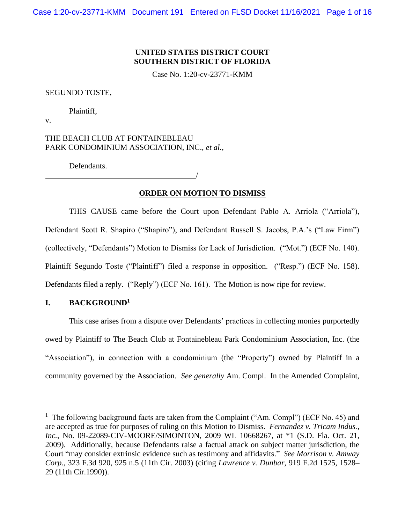# **UNITED STATES DISTRICT COURT SOUTHERN DISTRICT OF FLORIDA**

Case No. 1:20-cv-23771-KMM

#### SEGUNDO TOSTE,

Plaintiff,

v.

THE BEACH CLUB AT FONTAINEBLEAU PARK CONDOMINIUM ASSOCIATION, INC., *et al.*,

Defendants.

/

# **ORDER ON MOTION TO DISMISS**

THIS CAUSE came before the Court upon Defendant Pablo A. Arriola ("Arriola"), Defendant Scott R. Shapiro ("Shapiro"), and Defendant Russell S. Jacobs, P.A.'s ("Law Firm") (collectively, "Defendants") Motion to Dismiss for Lack of Jurisdiction. ("Mot.") (ECF No. 140). Plaintiff Segundo Toste ("Plaintiff") filed a response in opposition. ("Resp.") (ECF No. 158). Defendants filed a reply. ("Reply") (ECF No. 161). The Motion is now ripe for review.

# **I. BACKGROUND<sup>1</sup>**

This case arises from a dispute over Defendants' practices in collecting monies purportedly owed by Plaintiff to The Beach Club at Fontainebleau Park Condominium Association, Inc. (the "Association"), in connection with a condominium (the "Property") owned by Plaintiff in a community governed by the Association. *See generally* Am. Compl. In the Amended Complaint,

<sup>&</sup>lt;sup>1</sup> The following background facts are taken from the Complaint ("Am. Compl") (ECF No. 45) and are accepted as true for purposes of ruling on this Motion to Dismiss. *Fernandez v. Tricam Indus., Inc.*, No. 09-22089-CIV-MOORE/SIMONTON, 2009 WL 10668267, at \*1 (S.D. Fla. Oct. 21, 2009). Additionally, because Defendants raise a factual attack on subject matter jurisdiction, the Court "may consider extrinsic evidence such as testimony and affidavits." *See Morrison v. Amway Corp*., 323 F.3d 920, 925 n.5 (11th Cir. 2003) (citing *Lawrence v. Dunbar*, 919 F.2d 1525, 1528– 29 (11th Cir.1990)).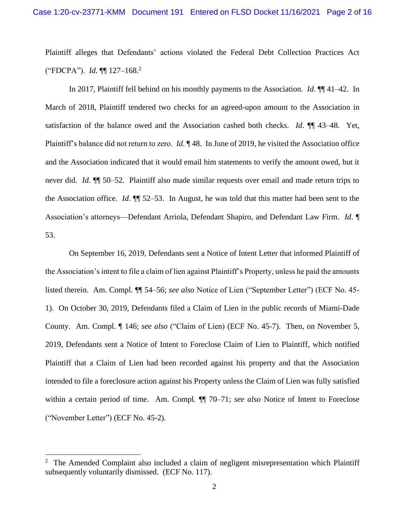Plaintiff alleges that Defendants' actions violated the Federal Debt Collection Practices Act ("FDCPA"). *Id*. ¶¶ 127–168.<sup>2</sup>

In 2017, Plaintiff fell behind on his monthly payments to the Association. *Id*. ¶¶ 41–42. In March of 2018, Plaintiff tendered two checks for an agreed-upon amount to the Association in satisfaction of the balance owed and the Association cashed both checks. *Id*. ¶¶ 43–48. Yet, Plaintiff's balance did not return to zero. *Id*. ¶ 48. In June of 2019, he visited the Association office and the Association indicated that it would email him statements to verify the amount owed, but it never did. *Id*. ¶¶ 50–52. Plaintiff also made similar requests over email and made return trips to the Association office. *Id*. ¶¶ 52–53. In August, he was told that this matter had been sent to the Association's attorneys—Defendant Arriola, Defendant Shapiro, and Defendant Law Firm. *Id*. ¶ 53.

On September 16, 2019, Defendants sent a Notice of Intent Letter that informed Plaintiff of the Association's intent to file a claim of lien against Plaintiff's Property, unless he paid the amounts listed therein. Am. Compl. ¶¶ 54–56; *see also* Notice of Lien ("September Letter") (ECF No. 45- 1). On October 30, 2019, Defendants filed a Claim of Lien in the public records of Miami-Dade County. Am. Compl. ¶ 146; *see also* ("Claim of Lien) (ECF No. 45-7). Then, on November 5, 2019, Defendants sent a Notice of Intent to Foreclose Claim of Lien to Plaintiff, which notified Plaintiff that a Claim of Lien had been recorded against his property and that the Association intended to file a foreclosure action against his Property unless the Claim of Lien was fully satisfied within a certain period of time. Am. Compl. ¶¶ 70–71; *see also* Notice of Intent to Foreclose ("November Letter") (ECF No. 45-2).

 $2$  The Amended Complaint also included a claim of negligent misrepresentation which Plaintiff subsequently voluntarily dismissed. (ECF No. 117).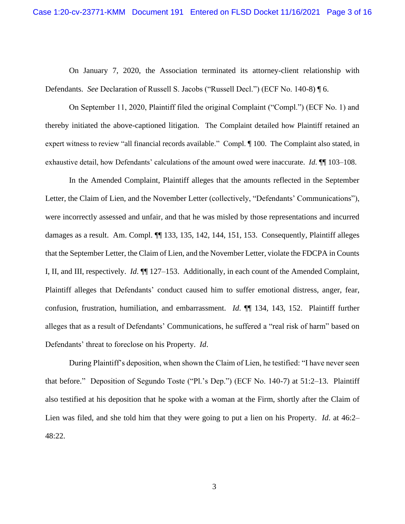On January 7, 2020, the Association terminated its attorney-client relationship with Defendants. *See* Declaration of Russell S. Jacobs ("Russell Decl.") (ECF No. 140-8) ¶ 6.

On September 11, 2020, Plaintiff filed the original Complaint ("Compl.") (ECF No. 1) and thereby initiated the above-captioned litigation. The Complaint detailed how Plaintiff retained an expert witness to review "all financial records available." Compl. ¶ 100. The Complaint also stated, in exhaustive detail, how Defendants' calculations of the amount owed were inaccurate. *Id*. ¶¶ 103–108.

In the Amended Complaint, Plaintiff alleges that the amounts reflected in the September Letter, the Claim of Lien, and the November Letter (collectively, "Defendants' Communications"), were incorrectly assessed and unfair, and that he was misled by those representations and incurred damages as a result. Am. Compl.  $\P$  133, 135, 142, 144, 151, 153. Consequently, Plaintiff alleges that the September Letter, the Claim of Lien, and the November Letter, violate the FDCPA in Counts I, II, and III, respectively. *Id*. ¶¶ 127–153. Additionally, in each count of the Amended Complaint, Plaintiff alleges that Defendants' conduct caused him to suffer emotional distress, anger, fear, confusion, frustration, humiliation, and embarrassment. *Id*. ¶¶ 134, 143, 152. Plaintiff further alleges that as a result of Defendants' Communications, he suffered a "real risk of harm" based on Defendants' threat to foreclose on his Property. *Id*.

During Plaintiff's deposition, when shown the Claim of Lien, he testified: "I have never seen that before." Deposition of Segundo Toste ("Pl.'s Dep.") (ECF No. 140-7) at 51:2–13. Plaintiff also testified at his deposition that he spoke with a woman at the Firm, shortly after the Claim of Lien was filed, and she told him that they were going to put a lien on his Property. *Id*. at 46:2– 48:22.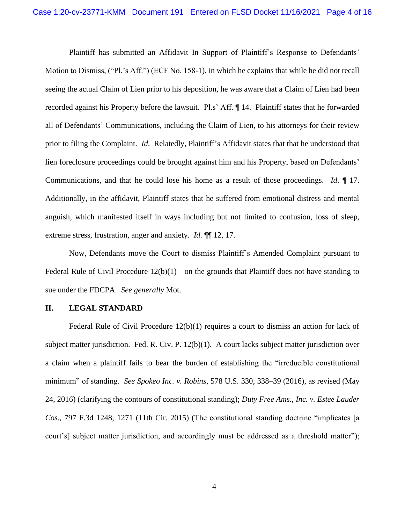Plaintiff has submitted an Affidavit In Support of Plaintiff's Response to Defendants' Motion to Dismiss, ("Pl.'s Aff.") (ECF No. 158-1), in which he explains that while he did not recall seeing the actual Claim of Lien prior to his deposition, he was aware that a Claim of Lien had been recorded against his Property before the lawsuit. Pl.s' Aff. ¶ 14. Plaintiff states that he forwarded all of Defendants' Communications, including the Claim of Lien, to his attorneys for their review prior to filing the Complaint. *Id*. Relatedly, Plaintiff's Affidavit states that that he understood that lien foreclosure proceedings could be brought against him and his Property, based on Defendants' Communications, and that he could lose his home as a result of those proceedings. *Id*. ¶ 17. Additionally, in the affidavit, Plaintiff states that he suffered from emotional distress and mental anguish, which manifested itself in ways including but not limited to confusion, loss of sleep, extreme stress, frustration, anger and anxiety. *Id*. ¶¶ 12, 17.

Now, Defendants move the Court to dismiss Plaintiff's Amended Complaint pursuant to Federal Rule of Civil Procedure  $12(b)(1)$ —on the grounds that Plaintiff does not have standing to sue under the FDCPA. *See generally* Mot.

#### **II. LEGAL STANDARD**

Federal Rule of Civil Procedure 12(b)(1) requires a court to dismiss an action for lack of subject matter jurisdiction. Fed. R. Civ. P. 12(b)(1). A court lacks subject matter jurisdiction over a claim when a plaintiff fails to bear the burden of establishing the "irreducible constitutional minimum" of standing. *See Spokeo Inc. v. Robins*, 578 U.S. 330, 338–39 (2016), as revised (May 24, 2016) (clarifying the contours of constitutional standing); *Duty Free Ams., Inc. v. Estee Lauder Cos.*, 797 F.3d 1248, 1271 (11th Cir. 2015) (The constitutional standing doctrine "implicates [a court's] subject matter jurisdiction, and accordingly must be addressed as a threshold matter");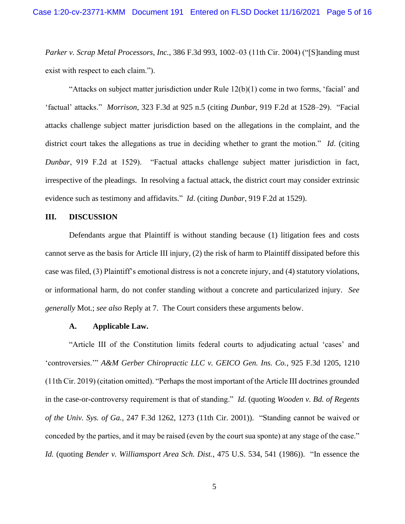*Parker v. Scrap Metal Processors, Inc.*, 386 F.3d 993, 1002–03 (11th Cir. 2004) ("[S]tanding must exist with respect to each claim.").

"Attacks on subject matter jurisdiction under Rule 12(b)(1) come in two forms, 'facial' and 'factual' attacks." *Morrison*, 323 F.3d at 925 n.5 (citing *Dunbar*, 919 F.2d at 1528–29). "Facial attacks challenge subject matter jurisdiction based on the allegations in the complaint, and the district court takes the allegations as true in deciding whether to grant the motion." *Id*. (citing *Dunbar*, 919 F.2d at 1529). "Factual attacks challenge subject matter jurisdiction in fact, irrespective of the pleadings. In resolving a factual attack, the district court may consider extrinsic evidence such as testimony and affidavits." *Id*. (citing *Dunbar*, 919 F.2d at 1529).

## **III. DISCUSSION**

Defendants argue that Plaintiff is without standing because (1) litigation fees and costs cannot serve as the basis for Article III injury, (2) the risk of harm to Plaintiff dissipated before this case was filed, (3) Plaintiff's emotional distress is not a concrete injury, and (4) statutory violations, or informational harm, do not confer standing without a concrete and particularized injury. *See generally* Mot.; *see also* Reply at 7. The Court considers these arguments below.

#### **A. Applicable Law.**

"Article III of the Constitution limits federal courts to adjudicating actual 'cases' and 'controversies.'" *A&M Gerber Chiropractic LLC v. GEICO Gen. Ins. Co.*, 925 F.3d 1205, 1210 (11th Cir. 2019) (citation omitted). "Perhaps the most important of the Article III doctrines grounded in the case-or-controversy requirement is that of standing." *Id*. (quoting *Wooden v. Bd. of Regents of the Univ. Sys. of Ga.*, 247 F.3d 1262, 1273 (11th Cir. 2001)). "Standing cannot be waived or conceded by the parties, and it may be raised (even by the court sua sponte) at any stage of the case." *Id.* (quoting *Bender v. Williamsport Area Sch. Dist.*, 475 U.S. 534, 541 (1986)). "In essence the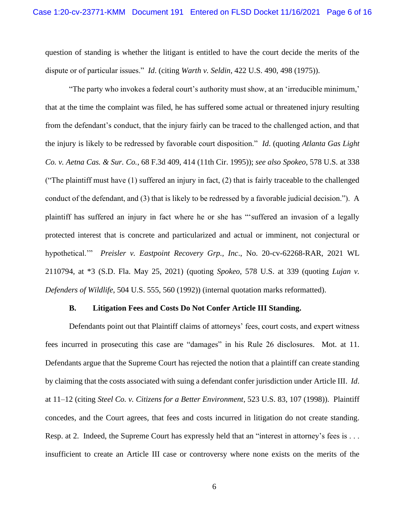question of standing is whether the litigant is entitled to have the court decide the merits of the dispute or of particular issues." *Id*. (citing *Warth v. Seldin*, 422 U.S. 490, 498 (1975)).

"The party who invokes a federal court's authority must show, at an 'irreducible minimum,' that at the time the complaint was filed, he has suffered some actual or threatened injury resulting from the defendant's conduct, that the injury fairly can be traced to the challenged action, and that the injury is likely to be redressed by favorable court disposition." *Id*. (quoting *Atlanta Gas Light Co. v. Aetna Cas. & Sur. Co.*, 68 F.3d 409, 414 (11th Cir. 1995)); *see also Spokeo*, 578 U.S. at 338 ("The plaintiff must have (1) suffered an injury in fact, (2) that is fairly traceable to the challenged conduct of the defendant, and (3) that is likely to be redressed by a favorable judicial decision."). A plaintiff has suffered an injury in fact where he or she has "'suffered an invasion of a legally protected interest that is concrete and particularized and actual or imminent, not conjectural or hypothetical.'" *Preisler v. Eastpoint Recovery Grp., Inc*., No. 20-cv-62268-RAR, 2021 WL 2110794, at \*3 (S.D. Fla. May 25, 2021) (quoting *Spokeo*, 578 U.S. at 339 (quoting *Lujan v. Defenders of Wildlife*, 504 U.S. 555, 560 (1992)) (internal quotation marks reformatted).

#### **B. Litigation Fees and Costs Do Not Confer Article III Standing.**

Defendants point out that Plaintiff claims of attorneys' fees, court costs, and expert witness fees incurred in prosecuting this case are "damages" in his Rule 26 disclosures. Mot. at 11. Defendants argue that the Supreme Court has rejected the notion that a plaintiff can create standing by claiming that the costs associated with suing a defendant confer jurisdiction under Article III. *Id*. at 11–12 (citing *Steel Co. v. Citizens for a Better Environment*, 523 U.S. 83, 107 (1998)). Plaintiff concedes, and the Court agrees, that fees and costs incurred in litigation do not create standing. Resp. at 2. Indeed, the Supreme Court has expressly held that an "interest in attorney's fees is . . . insufficient to create an Article III case or controversy where none exists on the merits of the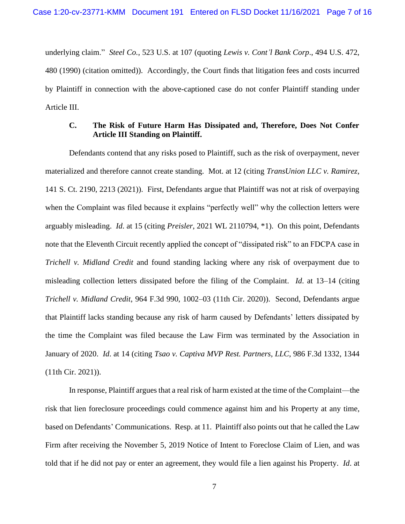underlying claim." *Steel Co.*, 523 U.S. at 107 (quoting *Lewis v. Cont'l Bank Corp*., 494 U.S. 472, 480 (1990) (citation omitted)). Accordingly, the Court finds that litigation fees and costs incurred by Plaintiff in connection with the above-captioned case do not confer Plaintiff standing under Article III.

# **C. The Risk of Future Harm Has Dissipated and, Therefore, Does Not Confer Article III Standing on Plaintiff.**

Defendants contend that any risks posed to Plaintiff, such as the risk of overpayment, never materialized and therefore cannot create standing. Mot. at 12 (citing *TransUnion LLC v. Ramirez*, 141 S. Ct. 2190, 2213 (2021)). First, Defendants argue that Plaintiff was not at risk of overpaying when the Complaint was filed because it explains "perfectly well" why the collection letters were arguably misleading. *Id*. at 15 (citing *Preisler*, 2021 WL 2110794, \*1). On this point, Defendants note that the Eleventh Circuit recently applied the concept of "dissipated risk" to an FDCPA case in *Trichell v. Midland Credit* and found standing lacking where any risk of overpayment due to misleading collection letters dissipated before the filing of the Complaint. *Id*. at 13–14 (citing *Trichell v. Midland Credit*, 964 F.3d 990, 1002–03 (11th Cir. 2020)). Second, Defendants argue that Plaintiff lacks standing because any risk of harm caused by Defendants' letters dissipated by the time the Complaint was filed because the Law Firm was terminated by the Association in January of 2020. *Id*. at 14 (citing *Tsao v. Captiva MVP Rest. Partners, LLC*, 986 F.3d 1332, 1344 (11th Cir. 2021)).

In response, Plaintiff argues that a real risk of harm existed at the time of the Complaint—the risk that lien foreclosure proceedings could commence against him and his Property at any time, based on Defendants' Communications. Resp. at 11. Plaintiff also points out that he called the Law Firm after receiving the November 5, 2019 Notice of Intent to Foreclose Claim of Lien, and was told that if he did not pay or enter an agreement, they would file a lien against his Property. *Id*. at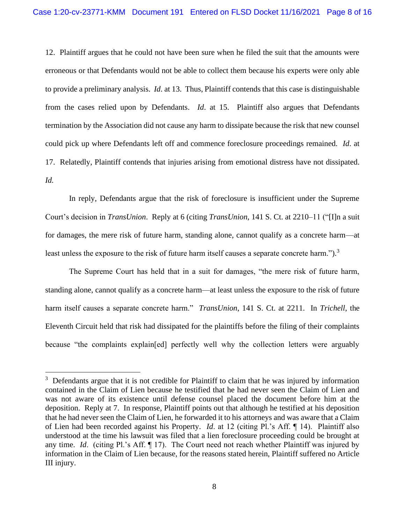12. Plaintiff argues that he could not have been sure when he filed the suit that the amounts were erroneous or that Defendants would not be able to collect them because his experts were only able to provide a preliminary analysis. *Id*. at 13. Thus, Plaintiff contends that this case is distinguishable from the cases relied upon by Defendants. *Id*. at 15. Plaintiff also argues that Defendants termination by the Association did not cause any harm to dissipate because the risk that new counsel could pick up where Defendants left off and commence foreclosure proceedings remained. *Id*. at 17. Relatedly, Plaintiff contends that injuries arising from emotional distress have not dissipated. *Id.* 

In reply, Defendants argue that the risk of foreclosure is insufficient under the Supreme Court's decision in *TransUnion*. Reply at 6 (citing *TransUnion*, 141 S. Ct. at 2210–11 ("[I]n a suit for damages, the mere risk of future harm, standing alone, cannot qualify as a concrete harm—at least unless the exposure to the risk of future harm itself causes a separate concrete harm.").<sup>3</sup>

The Supreme Court has held that in a suit for damages, "the mere risk of future harm, standing alone, cannot qualify as a concrete harm—at least unless the exposure to the risk of future harm itself causes a separate concrete harm." *TransUnion*, 141 S. Ct. at 2211. In *Trichell*, the Eleventh Circuit held that risk had dissipated for the plaintiffs before the filing of their complaints because "the complaints explain[ed] perfectly well why the collection letters were arguably

 $3$  Defendants argue that it is not credible for Plaintiff to claim that he was injured by information contained in the Claim of Lien because he testified that he had never seen the Claim of Lien and was not aware of its existence until defense counsel placed the document before him at the deposition. Reply at 7. In response, Plaintiff points out that although he testified at his deposition that he had never seen the Claim of Lien, he forwarded it to his attorneys and was aware that a Claim of Lien had been recorded against his Property. *Id*. at 12 (citing Pl.'s Aff. ¶ 14). Plaintiff also understood at the time his lawsuit was filed that a lien foreclosure proceeding could be brought at any time. *Id*. (citing Pl.'s Aff. ¶ 17). The Court need not reach whether Plaintiff was injured by information in the Claim of Lien because, for the reasons stated herein, Plaintiff suffered no Article III injury.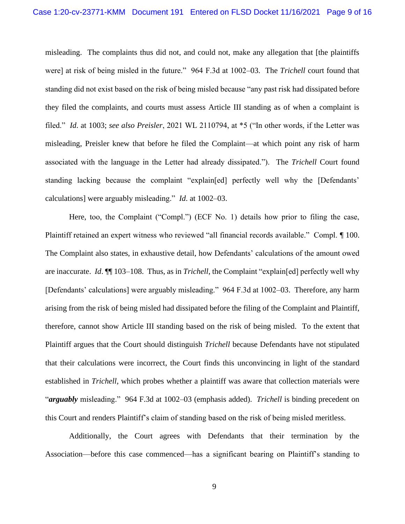misleading. The complaints thus did not, and could not, make any allegation that [the plaintiffs were] at risk of being misled in the future." 964 F.3d at 1002–03. The *Trichell* court found that standing did not exist based on the risk of being misled because "any past risk had dissipated before they filed the complaints, and courts must assess Article III standing as of when a complaint is filed." *Id*. at 1003; *see also Preisler*, 2021 WL 2110794, at \*5 ("In other words, if the Letter was misleading, Preisler knew that before he filed the Complaint—at which point any risk of harm associated with the language in the Letter had already dissipated."). The *Trichell* Court found standing lacking because the complaint "explain[ed] perfectly well why the [Defendants' calculations] were arguably misleading." *Id*. at 1002–03.

Here, too, the Complaint ("Compl.") (ECF No. 1) details how prior to filing the case, Plaintiff retained an expert witness who reviewed "all financial records available." Compl. ¶ 100. The Complaint also states, in exhaustive detail, how Defendants' calculations of the amount owed are inaccurate. *Id*. ¶¶ 103–108. Thus, as in *Trichell*, the Complaint "explain[ed] perfectly well why [Defendants' calculations] were arguably misleading." 964 F.3d at 1002–03. Therefore, any harm arising from the risk of being misled had dissipated before the filing of the Complaint and Plaintiff, therefore, cannot show Article III standing based on the risk of being misled. To the extent that Plaintiff argues that the Court should distinguish *Trichell* because Defendants have not stipulated that their calculations were incorrect, the Court finds this unconvincing in light of the standard established in *Trichell*, which probes whether a plaintiff was aware that collection materials were "*arguably* misleading." 964 F.3d at 1002–03 (emphasis added). *Trichell* is binding precedent on this Court and renders Plaintiff's claim of standing based on the risk of being misled meritless.

Additionally, the Court agrees with Defendants that their termination by the Association—before this case commenced—has a significant bearing on Plaintiff's standing to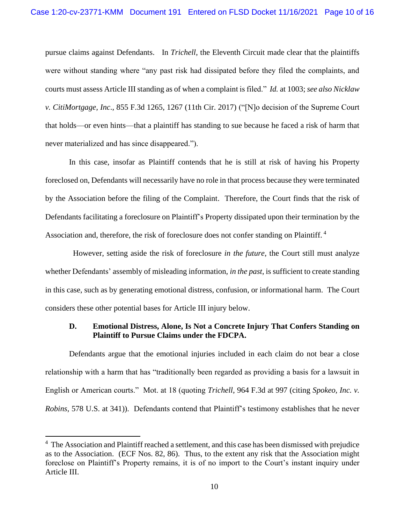pursue claims against Defendants. In *Trichell*, the Eleventh Circuit made clear that the plaintiffs were without standing where "any past risk had dissipated before they filed the complaints, and courts must assess Article III standing as of when a complaint is filed." *Id.* at 1003; *see also Nicklaw v. CitiMortgage, Inc*., 855 F.3d 1265, 1267 (11th Cir. 2017) ("[N]o decision of the Supreme Court that holds—or even hints—that a plaintiff has standing to sue because he faced a risk of harm that never materialized and has since disappeared.").

In this case, insofar as Plaintiff contends that he is still at risk of having his Property foreclosed on, Defendants will necessarily have no role in that process because they were terminated by the Association before the filing of the Complaint. Therefore, the Court finds that the risk of Defendants facilitating a foreclosure on Plaintiff's Property dissipated upon their termination by the Association and, therefore, the risk of foreclosure does not confer standing on Plaintiff.<sup>4</sup>

 However, setting aside the risk of foreclosure *in the future*, the Court still must analyze whether Defendants' assembly of misleading information, *in the past*, is sufficient to create standing in this case, such as by generating emotional distress, confusion, or informational harm. The Court considers these other potential bases for Article III injury below.

### **D. Emotional Distress, Alone, Is Not a Concrete Injury That Confers Standing on Plaintiff to Pursue Claims under the FDCPA.**

Defendants argue that the emotional injuries included in each claim do not bear a close relationship with a harm that has "traditionally been regarded as providing a basis for a lawsuit in English or American courts." Mot. at 18 (quoting *Trichell*, 964 F.3d at 997 (citing *Spokeo, Inc. v. Robins*, 578 U.S. at 341)). Defendants contend that Plaintiff's testimony establishes that he never

<sup>&</sup>lt;sup>4</sup> The Association and Plaintiff reached a settlement, and this case has been dismissed with prejudice as to the Association. (ECF Nos. 82, 86). Thus, to the extent any risk that the Association might foreclose on Plaintiff's Property remains, it is of no import to the Court's instant inquiry under Article III.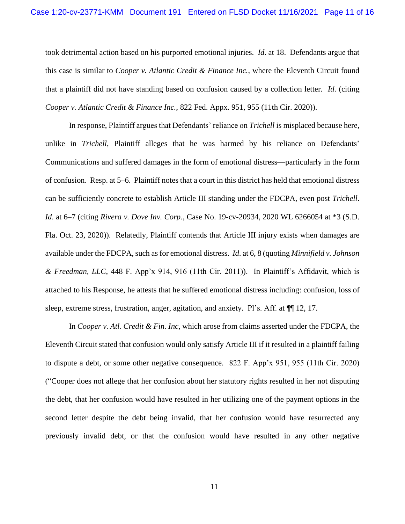took detrimental action based on his purported emotional injuries. *Id*. at 18. Defendants argue that this case is similar to *Cooper v. Atlantic Credit & Finance Inc.*, where the Eleventh Circuit found that a plaintiff did not have standing based on confusion caused by a collection letter. *Id*. (citing *Cooper v. Atlantic Credit & Finance Inc.*, 822 Fed. Appx. 951, 955 (11th Cir. 2020)).

In response, Plaintiff argues that Defendants' reliance on *Trichell* is misplaced because here, unlike in *Trichell*, Plaintiff alleges that he was harmed by his reliance on Defendants' Communications and suffered damages in the form of emotional distress—particularly in the form of confusion. Resp. at 5–6. Plaintiff notes that a court in this district has held that emotional distress can be sufficiently concrete to establish Article III standing under the FDCPA, even post *Trichell*. *Id*. at 6–7 (citing *Rivera v. Dove Inv. Corp*., Case No. 19-cv-20934, 2020 WL 6266054 at \*3 (S.D. Fla. Oct. 23, 2020)). Relatedly, Plaintiff contends that Article III injury exists when damages are available under the FDCPA, such as for emotional distress. *Id*. at 6, 8 (quoting *Minnifield v. Johnson & Freedman, LLC*, 448 F. App'x 914, 916 (11th Cir. 2011)). In Plaintiff's Affidavit, which is attached to his Response, he attests that he suffered emotional distress including: confusion, loss of sleep, extreme stress, frustration, anger, agitation, and anxiety. Pl's. Aff. at  $\P$  12, 17.

In *Cooper v. Atl. Credit & Fin. Inc*, which arose from claims asserted under the FDCPA, the Eleventh Circuit stated that confusion would only satisfy Article III if it resulted in a plaintiff failing to dispute a debt, or some other negative consequence. 822 F. App'x 951, 955 (11th Cir. 2020) ("Cooper does not allege that her confusion about her statutory rights resulted in her not disputing the debt, that her confusion would have resulted in her utilizing one of the payment options in the second letter despite the debt being invalid, that her confusion would have resurrected any previously invalid debt, or that the confusion would have resulted in any other negative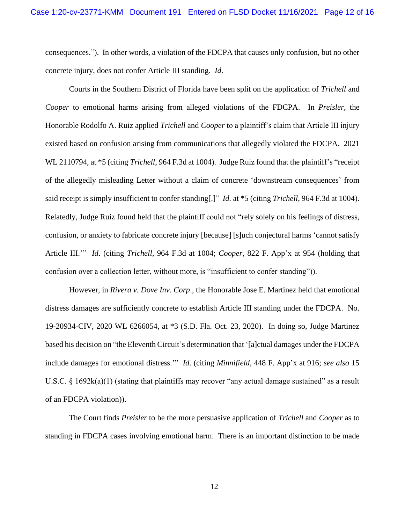consequences."). In other words, a violation of the FDCPA that causes only confusion, but no other concrete injury, does not confer Article III standing. *Id*.

Courts in the Southern District of Florida have been split on the application of *Trichell* and *Cooper* to emotional harms arising from alleged violations of the FDCPA. In *Preisler*, the Honorable Rodolfo A. Ruiz applied *Trichell* and *Cooper* to a plaintiff's claim that Article III injury existed based on confusion arising from communications that allegedly violated the FDCPA. 2021 WL 2110794, at \*5 (citing *Trichell*, 964 F.3d at 1004). Judge Ruiz found that the plaintiff's "receipt of the allegedly misleading Letter without a claim of concrete 'downstream consequences' from said receipt is simply insufficient to confer standing[.]" *Id.* at \*5 (citing *Trichell*, 964 F.3d at 1004). Relatedly, Judge Ruiz found held that the plaintiff could not "rely solely on his feelings of distress, confusion, or anxiety to fabricate concrete injury [because] [s]uch conjectural harms 'cannot satisfy Article III.'" *Id*. (citing *Trichell*, 964 F.3d at 1004; *Cooper*, 822 F. App'x at 954 (holding that confusion over a collection letter, without more, is "insufficient to confer standing")).

However, in *Rivera v. Dove Inv. Corp*., the Honorable Jose E. Martinez held that emotional distress damages are sufficiently concrete to establish Article III standing under the FDCPA. No. 19-20934-CIV, 2020 WL 6266054, at \*3 (S.D. Fla. Oct. 23, 2020). In doing so, Judge Martinez based his decision on "the Eleventh Circuit's determination that '[a]ctual damages under the FDCPA include damages for emotional distress.'" *Id*. (citing *Minnifield*, 448 F. App'x at 916; *see also* 15 U.S.C. § 1692k(a)(1) (stating that plaintiffs may recover "any actual damage sustained" as a result of an FDCPA violation)).

The Court finds *Preisler* to be the more persuasive application of *Trichell* and *Cooper* as to standing in FDCPA cases involving emotional harm. There is an important distinction to be made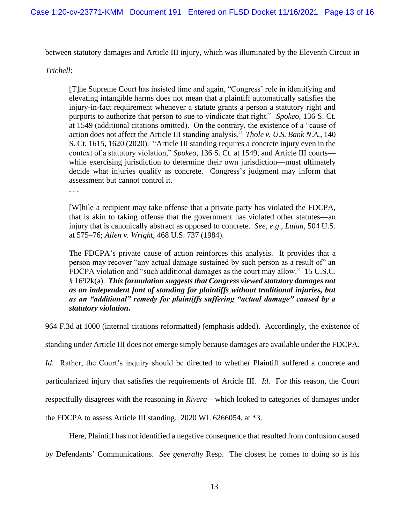between statutory damages and Article III injury, which was illuminated by the Eleventh Circuit in

#### *Trichell*:

[T]he Supreme Court has insisted time and again, "Congress' role in identifying and elevating intangible harms does not mean that a plaintiff automatically satisfies the injury-in-fact requirement whenever a statute grants a person a statutory right and purports to authorize that person to sue to vindicate that right." *Spokeo*, 136 S. Ct. at 1549 (additional citations omitted). On the contrary, the existence of a "cause of action does not affect the Article III standing analysis." *Thole v. U.S. Bank N.A.*, 140 S. Ct. 1615, 1620 (2020). "Article III standing requires a concrete injury even in the context of a statutory violation," *Spokeo*, 136 S. Ct. at 1549, and Article III courts while exercising jurisdiction to determine their own jurisdiction—must ultimately decide what injuries qualify as concrete. Congress's judgment may inform that assessment but cannot control it.

. . .

[W]hile a recipient may take offense that a private party has violated the FDCPA, that is akin to taking offense that the government has violated other statutes—an injury that is canonically abstract as opposed to concrete. *See*, *e.g*., *Lujan*, 504 U.S. at 575–76; *Allen v. Wrigh*t, 468 U.S. 737 (1984).

The FDCPA's private cause of action reinforces this analysis. It provides that a person may recover "any actual damage sustained by such person as a result of" an FDCPA violation and "such additional damages as the court may allow." 15 U.S.C. § 1692k(a). *This formulation suggests that Congress viewed statutory damages not as an independent font of standing for plaintiffs without traditional injuries, but as an "additional" remedy for plaintiffs suffering "actual damage" caused by a statutory violation***.**

964 F.3d at 1000 (internal citations reformatted) (emphasis added). Accordingly, the existence of

standing under Article III does not emerge simply because damages are available under the FDCPA.

*Id.* Rather, the Court's inquiry should be directed to whether Plaintiff suffered a concrete and particularized injury that satisfies the requirements of Article III. *Id*. For this reason, the Court respectfully disagrees with the reasoning in *Rivera*—which looked to categories of damages under the FDCPA to assess Article III standing. 2020 WL 6266054, at \*3.

Here, Plaintiff has not identified a negative consequence that resulted from confusion caused by Defendants' Communications. *See generally* Resp. The closest he comes to doing so is his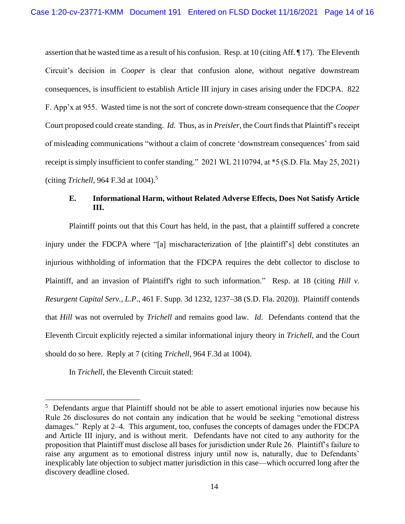assertion that he wasted time as a result of his confusion. Resp. at 10 (citing Aff. ¶ 17). The Eleventh Circuit's decision in *Cooper* is clear that confusion alone, without negative downstream consequences, is insufficient to establish Article III injury in cases arising under the FDCPA. 822 F. App'x at 955. Wasted time is not the sort of concrete down-stream consequence that the *Cooper* Court proposed could create standing. *Id.* Thus, as in *Preisler*, the Court finds that Plaintiff's receipt of misleading communications "without a claim of concrete 'downstream consequences' from said receipt is simply insufficient to confer standing." 2021 WL 2110794, at \*5 (S.D. Fla. May 25, 2021) (citing *Trichell*, 964 F.3d at 1004).<sup>5</sup>

# **E. Informational Harm, without Related Adverse Effects, Does Not Satisfy Article III.**

Plaintiff points out that this Court has held, in the past, that a plaintiff suffered a concrete injury under the FDCPA where "[a] mischaracterization of [the plaintiff's] debt constitutes an injurious withholding of information that the FDCPA requires the debt collector to disclose to Plaintiff, and an invasion of Plaintiff's right to such information." Resp. at 18 (citing *Hill v. Resurgent Capital Serv., L.P*., 461 F. Supp. 3d 1232, 1237–38 (S.D. Fla. 2020)). Plaintiff contends that *Hill* was not overruled by *Trichell* and remains good law. *Id*. Defendants contend that the Eleventh Circuit explicitly rejected a similar informational injury theory in *Trichell*, and the Court should do so here. Reply at 7 (citing *Trichell*, 964 F.3d at 1004).

In *Trichell*, the Eleventh Circuit stated:

<sup>&</sup>lt;sup>5</sup> Defendants argue that Plaintiff should not be able to assert emotional injuries now because his Rule 26 disclosures do not contain any indication that he would be seeking "emotional distress damages." Reply at 2–4. This argument, too, confuses the concepts of damages under the FDCPA and Article III injury, and is without merit. Defendants have not cited to any authority for the proposition that Plaintiff must disclose all bases for jurisdiction under Rule 26. Plaintiff's failure to raise any argument as to emotional distress injury until now is, naturally, due to Defendants' inexplicably late objection to subject matter jurisdiction in this case—which occurred long after the discovery deadline closed.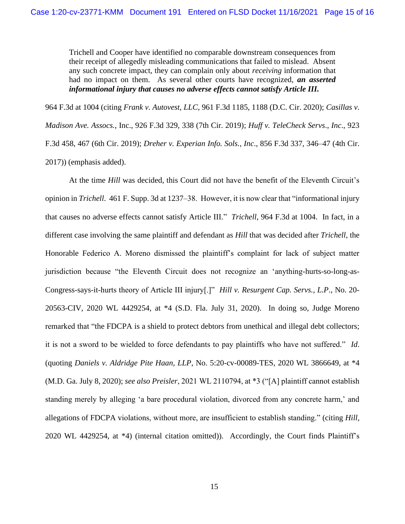Trichell and Cooper have identified no comparable downstream consequences from their receipt of allegedly misleading communications that failed to mislead. Absent any such concrete impact, they can complain only about *receiving* information that had no impact on them. As several other courts have recognized, *an asserted informational injury that causes no adverse effects cannot satisfy Article III.*

964 F.3d at 1004 (citing *Frank v. Autovest, LLC*, 961 F.3d 1185, 1188 (D.C. Cir. 2020); *Casillas v. Madison Ave. Assocs.*, Inc., 926 F.3d 329, 338 (7th Cir. 2019); *Huff v. TeleCheck Servs*., *Inc*., 923 F.3d 458, 467 (6th Cir. 2019); *Dreher v. Experian Info. Sols., Inc*., 856 F.3d 337, 346–47 (4th Cir. 2017)) (emphasis added).

At the time *Hill* was decided, this Court did not have the benefit of the Eleventh Circuit's opinion in *Trichell*. 461 F. Supp. 3d at 1237–38. However, it is now clear that "informational injury that causes no adverse effects cannot satisfy Article III." *Trichell*, 964 F.3d at 1004. In fact, in a different case involving the same plaintiff and defendant as *Hill* that was decided after *Trichell*, the Honorable Federico A. Moreno dismissed the plaintiff's complaint for lack of subject matter jurisdiction because "the Eleventh Circuit does not recognize an 'anything-hurts-so-long-as-Congress-says-it-hurts theory of Article III injury[.]" *Hill v. Resurgent Cap. Servs., L.P*., No. 20- 20563-CIV, 2020 WL 4429254, at \*4 (S.D. Fla. July 31, 2020). In doing so, Judge Moreno remarked that "the FDCPA is a shield to protect debtors from unethical and illegal debt collectors; it is not a sword to be wielded to force defendants to pay plaintiffs who have not suffered." *Id*. (quoting *Daniels v. Aldridge Pite Haan, LLP*, No. 5:20-cv-00089-TES, 2020 WL 3866649, at \*4 (M.D. Ga. July 8, 2020); *see also Preisler*, 2021 WL 2110794, at \*3 ("[A] plaintiff cannot establish standing merely by alleging 'a bare procedural violation, divorced from any concrete harm,' and allegations of FDCPA violations, without more, are insufficient to establish standing." (citing *Hill*, 2020 WL 4429254, at \*4) (internal citation omitted)). Accordingly, the Court finds Plaintiff's